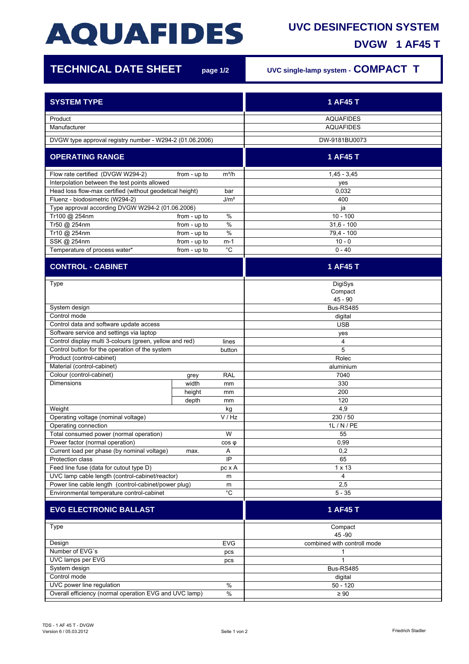## **AQUAFIDES**

## **UVC DESINFECTION SYSTEM**

**DVGW 1 AF45 T**

Ī

| <b>TECHNICAL DATE SHEET</b>                                                                                            |               | page 1/2    | UVC single-lamp system - COMPACT T     |
|------------------------------------------------------------------------------------------------------------------------|---------------|-------------|----------------------------------------|
| <b>SYSTEM TYPE</b>                                                                                                     |               |             | 1 AF45 T                               |
|                                                                                                                        |               |             |                                        |
| Product<br>Manufacturer                                                                                                |               |             | <b>AQUAFIDES</b><br><b>AQUAFIDES</b>   |
| DVGW type approval registry number - W294-2 (01.06.2006)                                                               |               |             | DW-9181BU0073                          |
| <b>OPERATING RANGE</b>                                                                                                 |               |             | 1 AF45 T                               |
|                                                                                                                        |               |             |                                        |
| Flow rate certified (DVGW W294-2)                                                                                      | from - up to  | $m^3/h$     | $1,45 - 3,45$                          |
| Interpolation between the test points allowed                                                                          |               |             | yes                                    |
| Head loss flow-max certified (without geodetical height)<br>bar<br>J/m <sup>2</sup><br>Fluenz - biodosimetric (W294-2) |               |             | 0,032                                  |
|                                                                                                                        |               |             | 400                                    |
| Type approval according DVGW W294-2 (01.06.2006)<br>Tr100 @ 254nm                                                      | from - up to  | %           | ja<br>$10 - 100$                       |
| Tr50 @ 254nm                                                                                                           | from - up to  | %           | $31,6 - 100$                           |
| Tr10 @ 254nm                                                                                                           | from - up to  | $\%$        | $79,4 - 100$                           |
| SSK @ 254nm                                                                                                            | from - up to  | m-1         | $10 - 0$                               |
| Temperature of process water*                                                                                          | from - up to  | $^{\circ}C$ | $0 - 40$                               |
| <b>CONTROL - CABINET</b>                                                                                               |               |             | 1 AF45 T                               |
| Type                                                                                                                   |               |             | DigiSys                                |
|                                                                                                                        |               |             | Compact                                |
|                                                                                                                        |               |             | $45 - 90$                              |
| System design                                                                                                          |               |             | Bus-RS485                              |
| Control mode                                                                                                           |               |             | digital                                |
| Control data and software update access                                                                                |               |             | <b>USB</b>                             |
| Software service and settings via laptop                                                                               |               |             | yes                                    |
| Control display multi 3-colours (green, yellow and red)<br>Control button for the operation of the system              |               | lines       | 4<br>5                                 |
| Product (control-cabinet)                                                                                              |               | button      | Rolec                                  |
| Material (control-cabinet)                                                                                             |               |             | aluminium                              |
| Colour (control-cabinet)                                                                                               |               | <b>RAL</b>  | 7040                                   |
| <b>Dimensions</b>                                                                                                      | grey<br>width | mm          | 330                                    |
|                                                                                                                        | height        | mm          | 200                                    |
|                                                                                                                        | depth         | mm          | 120                                    |
| Weight                                                                                                                 |               | kg          | 4,9                                    |
| Operating voltage (nominal voltage)                                                                                    |               | V / Hz      | 230 / 50                               |
| Operating connection                                                                                                   |               |             | 1L / N / PE                            |
| Total consumed power (normal operation)                                                                                |               | W           | 55                                     |
| Power factor (normal operation)                                                                                        |               | $cos \phi$  | 0,99                                   |
| Current load per phase (by nominal voltage)                                                                            | max.          | Α           | 0,2                                    |
| Protection class                                                                                                       |               | IP          | 65                                     |
| Feed line fuse (data for cutout type D)                                                                                |               | pc x A      | $1 \times 13$                          |
| UVC lamp cable length (control-cabinet/reactor)                                                                        |               | m           | 4                                      |
| Power line cable length (control-cabinet/power plug)                                                                   |               | m           | 2,5                                    |
| Environmental temperature control-cabinet                                                                              |               | $^{\circ}C$ | $5 - 35$                               |
| <b>EVG ELECTRONIC BALLAST</b>                                                                                          |               |             | 1 AF45 T                               |
| Type                                                                                                                   |               |             | Compact                                |
| Design                                                                                                                 |               | <b>EVG</b>  | 45 - 90<br>combined with controll mode |
| Number of EVG's                                                                                                        |               | pcs         | 1                                      |
| UVC lamps per EVG                                                                                                      |               | pcs         | 1                                      |
| System design                                                                                                          |               |             | Bus-RS485                              |
| Control mode                                                                                                           |               |             | digital                                |
| $\%$<br>UVC power line regulation                                                                                      |               |             | $50 - 120$                             |
| Overall efficiency (normal operation EVG and UVC lamp)<br>$\%$                                                         |               | $\geq 90$   |                                        |